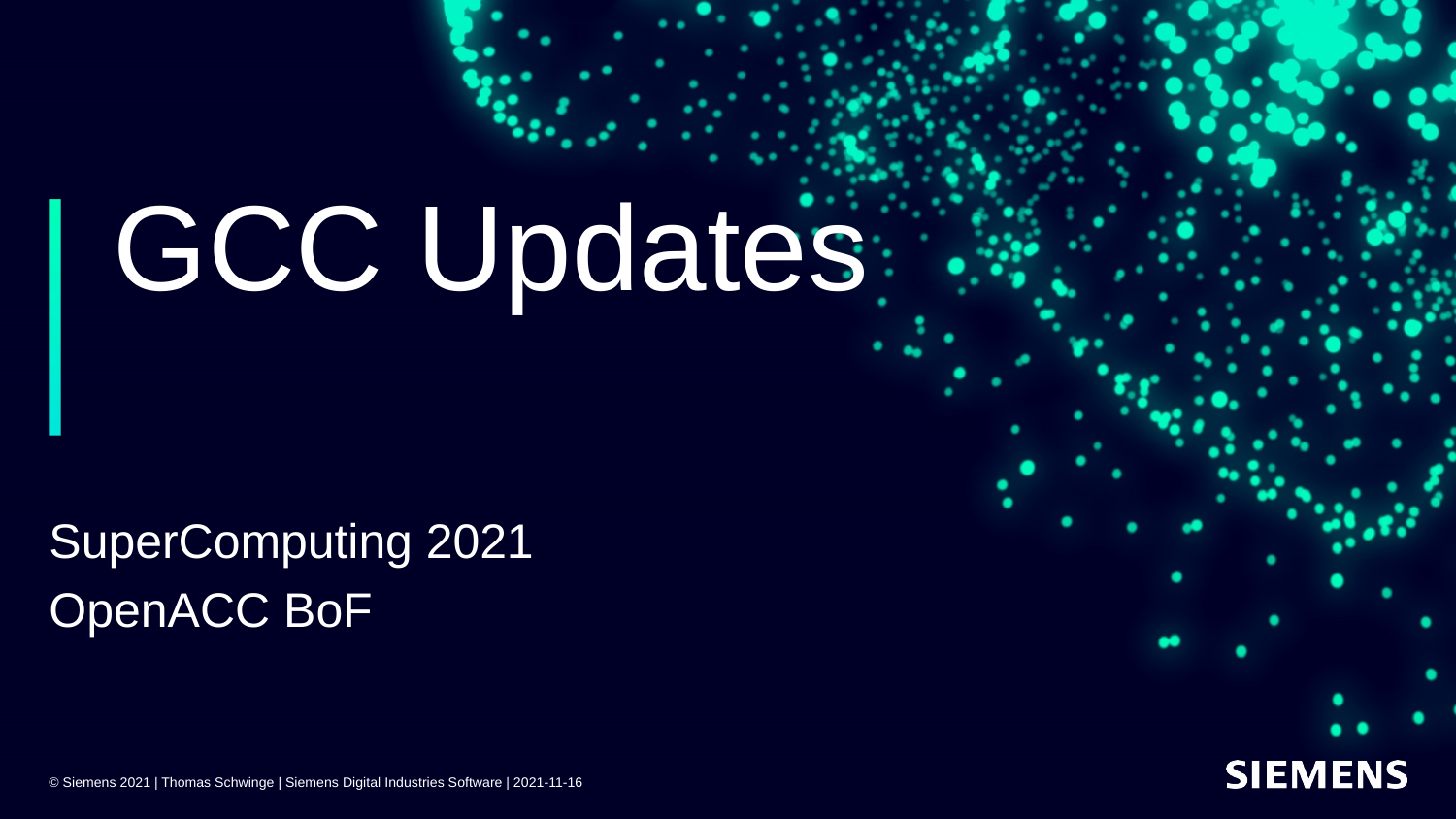# GCC Updates

SuperComputing 2021 OpenACC BoF

**SIEMENS** 

© Siemens 2021 | Thomas Schwinge | Siemens Digital Industries Software | 2021-11-16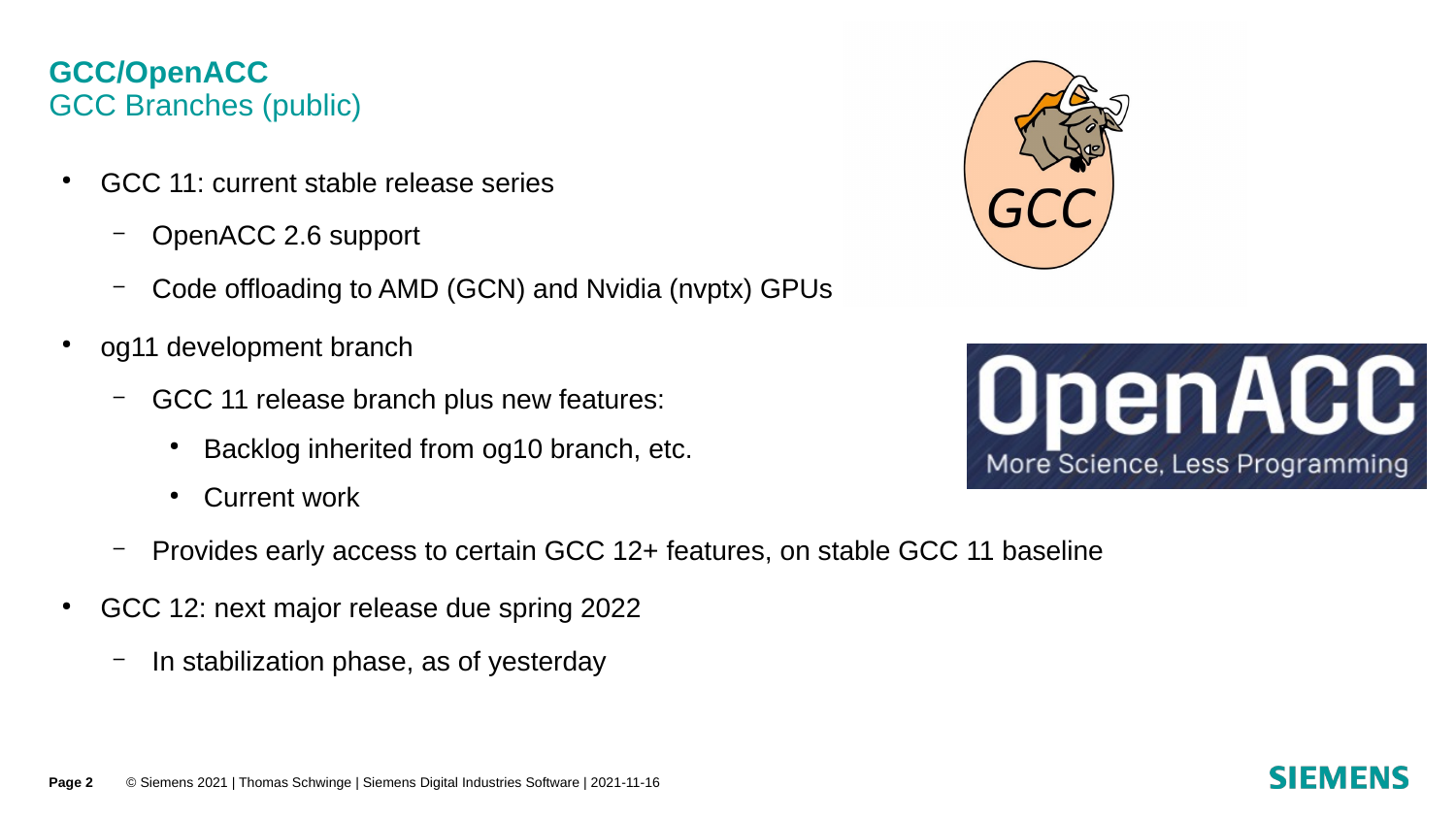## **GCC/OpenACC** GCC Branches (public)

- GCC 11: current stable release series
	- OpenACC 2.6 support
	- Code offloading to AMD (GCN) and Nvidia (nvptx) GPUs
- og 11 development branch
	- GCC 11 release branch plus new features:
		- Backlog inherited from og10 branch, etc.
		- **Current work**
	- Provides early access to certain GCC 12+ features, on stable GCC 11 baseline
- GCC 12: next major release due spring 2022
	- In stabilization phase, as of yesterday



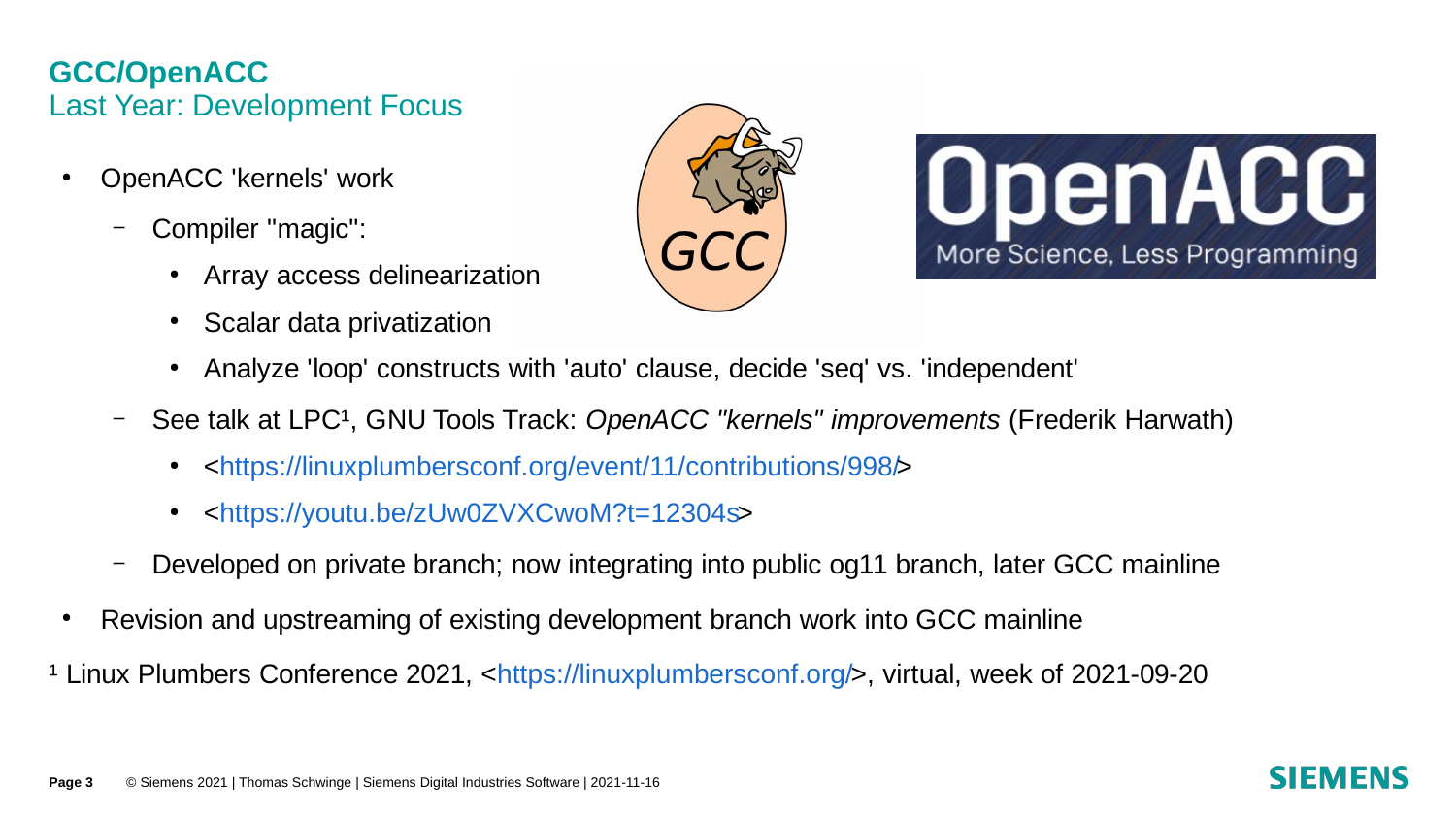### **GCC/OpenACC** Last Year: Development Focus

- OpenACC 'kernels' work
	- Compiler "magic":
		- Array access delinearization
		- **Scalar data privatization**





- Analyze 'loop' constructs with 'auto' clause, decide 'seq' vs. 'independent'
- See talk at LPC¹, GNU Tools Track: *OpenACC "kernels" improvements* (Frederik Harwath)
	- <[https://linuxplumbersconf.org/event/11/contributions/998/>](https://linuxplumbersconf.org/event/11/contributions/998/)
	- <[https://youtu.be/zUw0ZVXCwoM?t=12304s>](https://youtu.be/zUw0ZVXCwoM?t=12304s)
- Developed on private branch; now integrating into public og11 branch, later GCC mainline
- Revision and upstreaming of existing development branch work into GCC mainline
- <sup>1</sup> Linux Plumbers Conference 2021, <[https://linuxplumbersconf.org/>](https://linuxplumbersconf.org/), virtual, week of 2021-09-20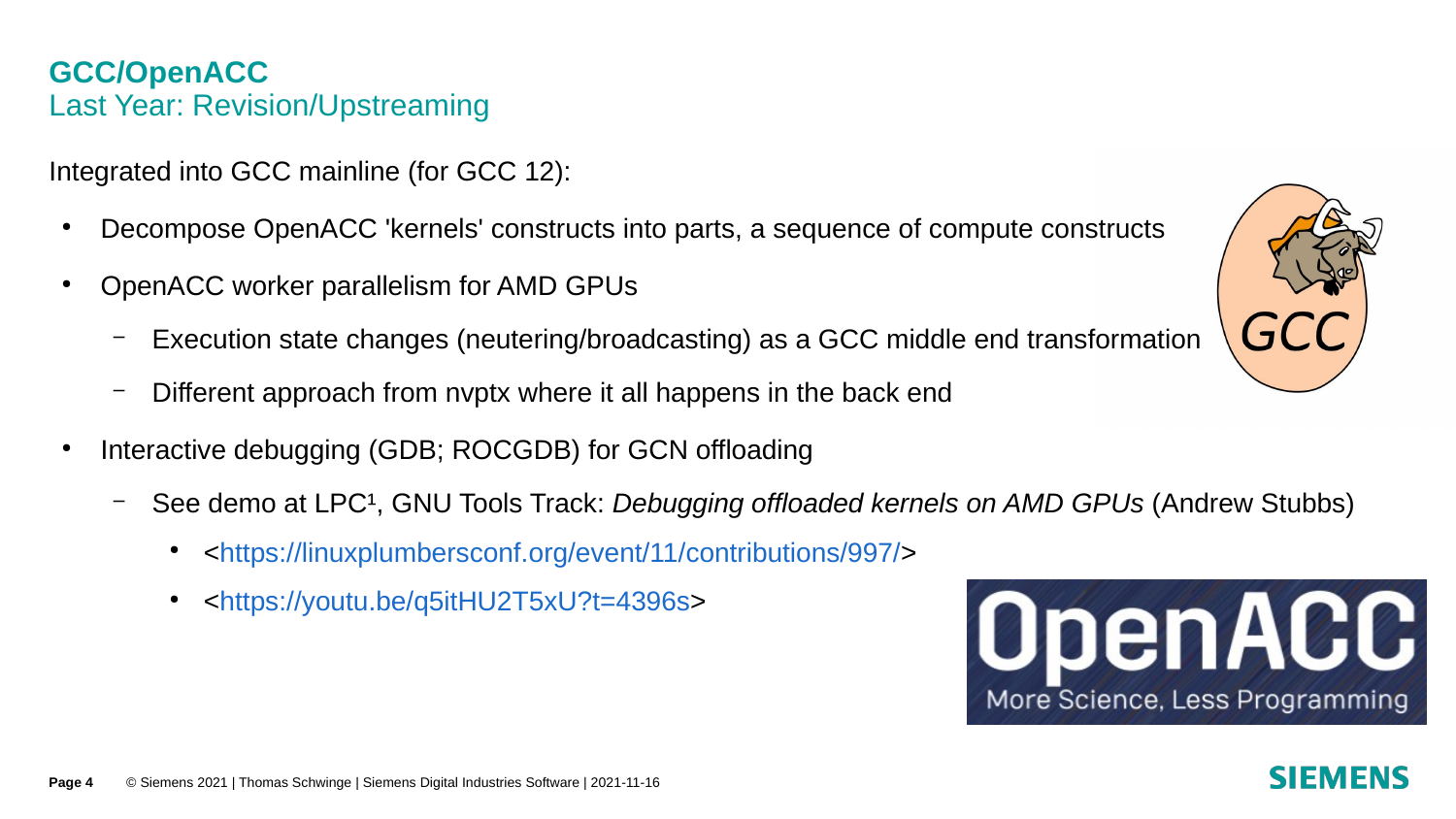#### **GCC/OpenACC** Last Year: Revision/Upstreaming

Integrated into GCC mainline (for GCC 12):

- Decompose OpenACC 'kernels' constructs into parts, a sequence of compute constructs
- OpenACC worker parallelism for AMD GPUs
	- Execution state changes (neutering/broadcasting) as a GCC middle end transformation
	- Different approach from nvptx where it all happens in the back end
- Interactive debugging (GDB; ROCGDB) for GCN offloading
	- See demo at LPC<sup>1</sup>, GNU Tools Track: *Debugging offloaded kernels on AMD GPUs* (Andrew Stubbs)
		- <[https://linuxplumbersconf.org/event/11/contributions/997/>](https://linuxplumbersconf.org/event/11/contributions/997/)
		- <<https://youtu.be/q5itHU2T5xU?t=4396s>>



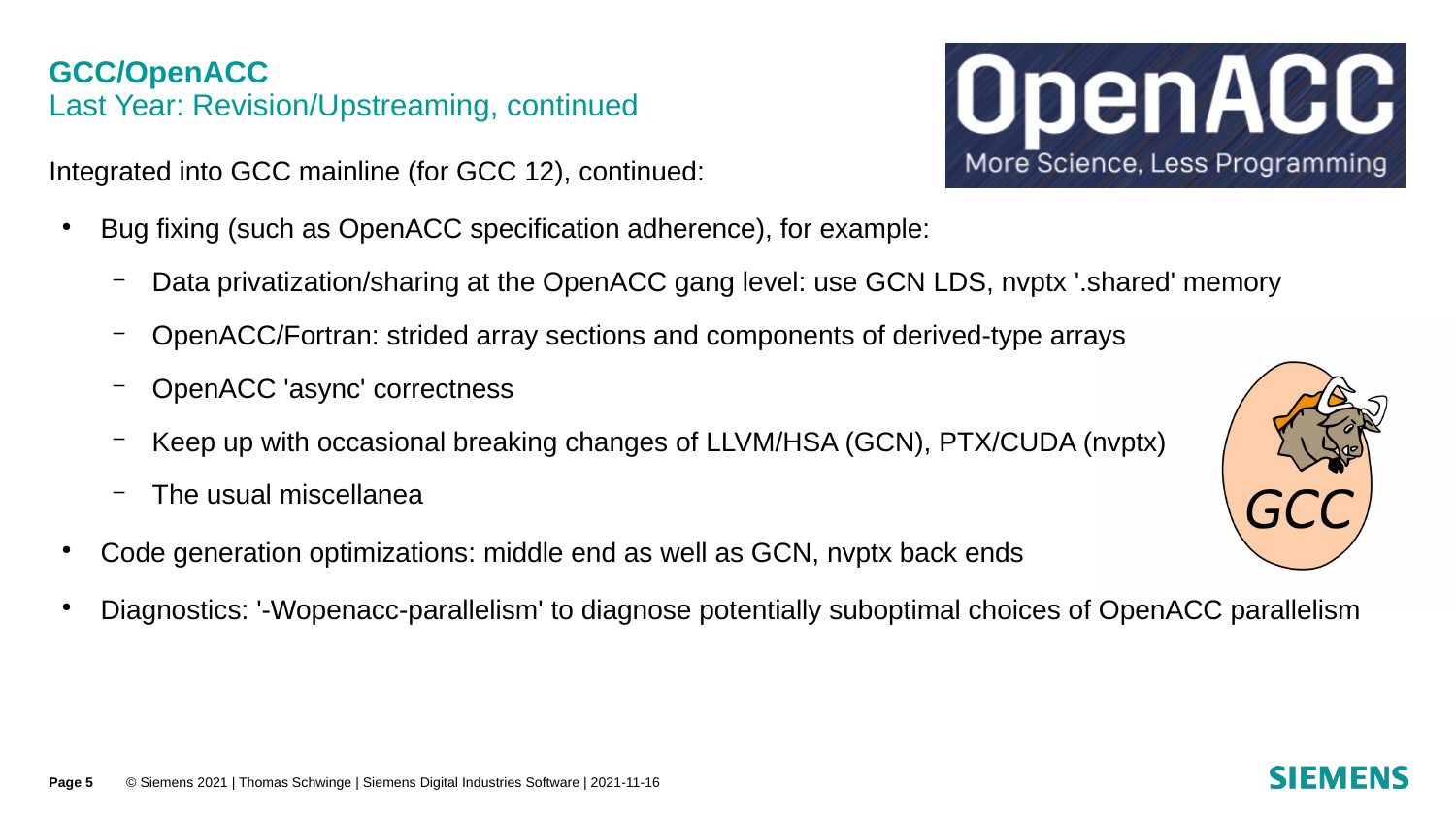### **GCC/OpenACC** Last Year: Revision/Upstreaming, continued

Integrated into GCC mainline (for GCC 12), continued:

- Bug fixing (such as OpenACC specification adherence), for example:
	- Data privatization/sharing at the OpenACC gang level: use GCN LDS, nvptx '.shared' memory
	- OpenACC/Fortran: strided array sections and components of derived-type arrays
	- OpenACC 'async' correctness
	- Keep up with occasional breaking changes of LLVM/HSA (GCN), PTX/CUDA (nvptx)
	- The usual miscellanea
- Code generation optimizations: middle end as well as GCN, nyptx back ends
- Diagnostics: '-Wopenacc-parallelism' to diagnose potentially suboptimal choices of OpenACC parallelism



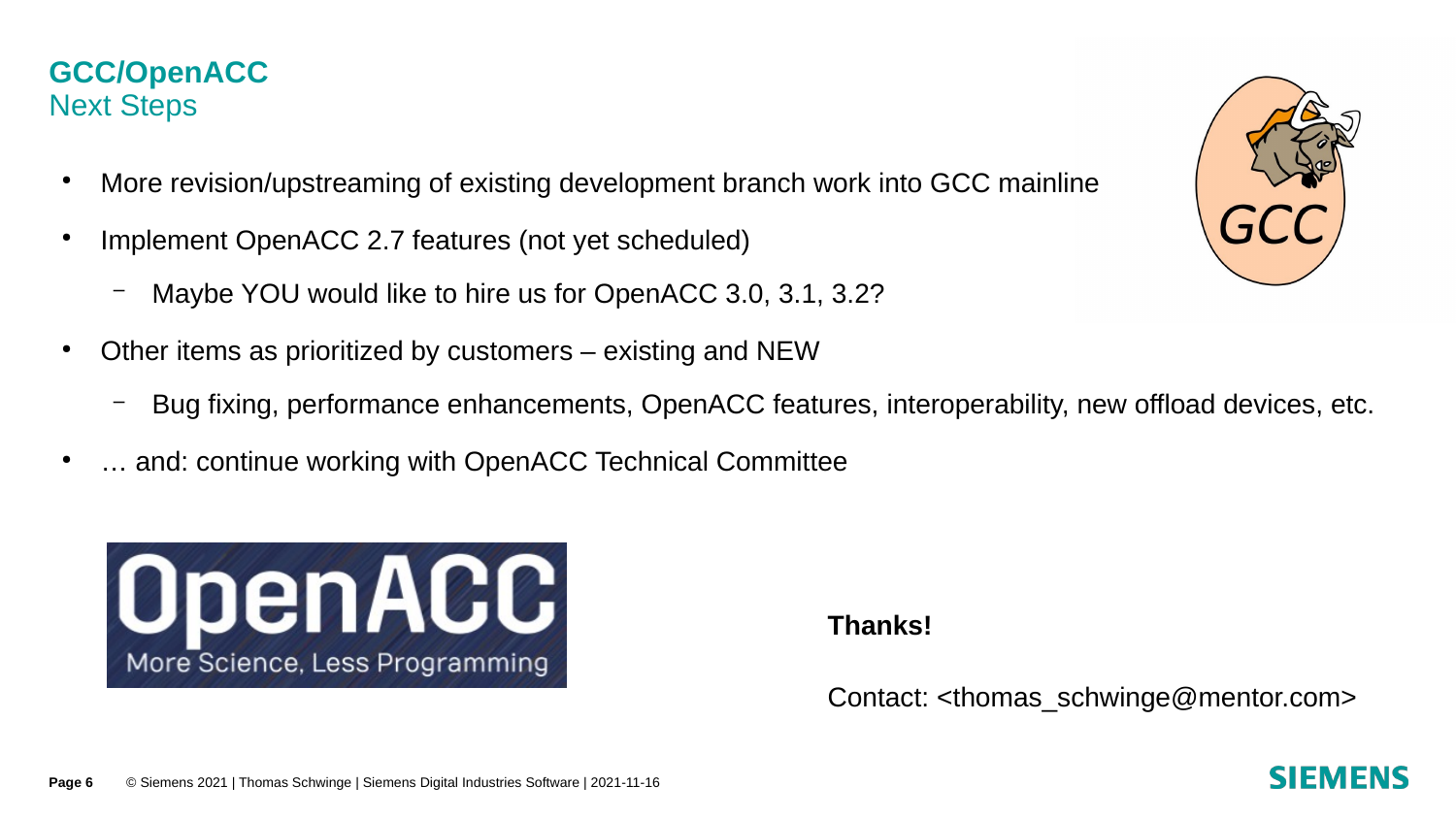#### **GCC/OpenACC** Next Steps

- More revision/upstreaming of existing development branch work into GCC mainline
- Implement OpenACC 2.7 features (not yet scheduled)
	- Maybe YOU would like to hire us for OpenACC 3.0, 3.1, 3.2?
- $\bullet$  Other items as prioritized by customers existing and NEW
	- Bug fixing, performance enhancements, OpenACC features, interoperability, new offload devices, etc.
- ... and: continue working with OpenACC Technical Committee





**Thanks!**

Contact: [<thomas\\_schwinge@mentor.com](mailto:thomas_schwinge@mentor.com)>